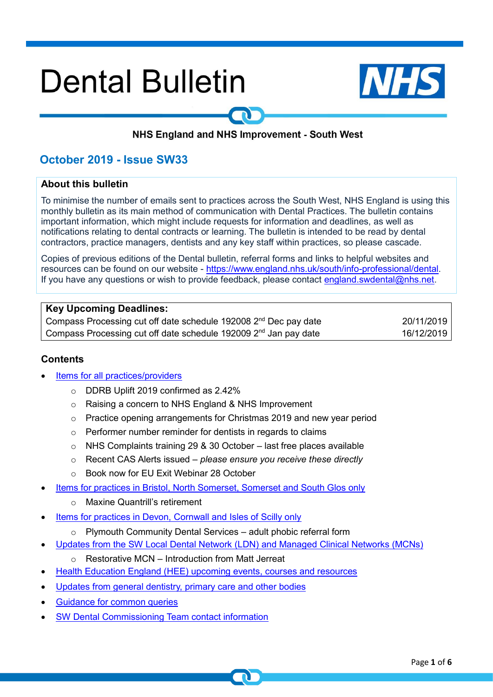# **Dental Bulletin**



# NHS England and NHS Improvement - South West

# **October 2019 - Issue SW33**

#### **About this bulletin**

To minimise the number of emails sent to practices across the South West, NHS England is using this monthly bulletin as its main method of communication with Dental Practices. The bulletin contains important information, which might include requests for information and deadlines, as well as notifications relating to dental contracts or learning. The bulletin is intended to be read by dental contractors, practice managers, dentists and any key staff within practices, so please cascade.

Copies of previous editions of the Dental bulletin, referral forms and links to helpful websites and resources can be found on our website - [https://www.england.nhs.uk/south/info-professional/dental.](https://www.england.nhs.uk/south/info-professional/dental/dcis/forms/) If you have any questions or wish to provide feedback, please contact [england.swdental@nhs.net.](mailto:england.swdental@nhs.net)

#### **Key Upcoming Deadlines:**

Compass Processing cut off date schedule 192008 2<sup>nd</sup> Dec pay date **20/11/2019** 20/11/2019 Compass Processing cut off date schedule 192009 2<sup>nd</sup> Jan pay date 16/12/2019

#### <span id="page-0-0"></span>**Contents**

- [Items for all practices/providers](#page-1-0)
	- o DDRB Uplift 2019 confirmed as 2.42%
	- o Raising a concern to NHS England & NHS Improvement
	- o Practice opening arrangements for Christmas 2019 and new year period
	- o Performer number reminder for dentists in regards to claims
	- $\circ$  NHS Complaints training 29 & 30 October last free places available
	- o Recent CAS Alerts issued *please ensure you receive these directly*
	- o Book now for EU Exit Webinar 28 October
- [Items for practices in Bristol, North Somerset, Somerset and South Glos only](#page-2-0)
	- o Maxine Quantrill's retirement
- [Items for practices in Devon, Cornwall and Isles of Scilly only](#page-3-0)
	- $\circ$  Plymouth Community Dental Services adult phobic referral form
- [Updates from the SW Local Dental Network \(LDN\) and Managed Clinical Networks \(MCNs\)](#page-3-1)
	- o Restorative MCN Introduction from Matt Jerreat
- [Health Education England \(HEE\)](#page-3-2) upcoming events, courses and resources
- Updates from general dentistry, primary care and other bodies
- Guidance for [common queries](#page-5-0)
- [SW Dental Commissioning Team contact information](#page-3-2)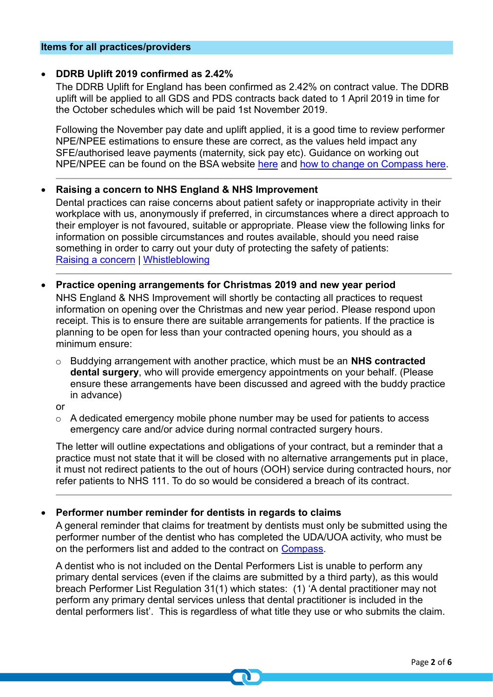#### <span id="page-1-0"></span>**Items for all practices/providers**

#### • **DDRB Uplift 2019 confirmed as 2.42%**

The DDRB Uplift for England has been confirmed as 2.42% on contract value. The DDRB uplift will be applied to all GDS and PDS contracts back dated to 1 April 2019 in time for the October schedules which will be paid 1st November 2019.

Following the November pay date and uplift applied, it is a good time to review performer NPE/NPEE estimations to ensure these are correct, as the values held impact any SFE/authorised leave payments (maternity, sick pay etc). Guidance on working out NPE/NPEE can be found on the BSA website [here](https://www.nhsbsa.nhs.uk/sites/default/files/2018-04/How%20to%20calculate%20Provider%20and%20Performer%20NPE_NPEE.pdf) and [how to change on Compass here.](https://www.nhsbsa.nhs.uk/sites/default/files/2017-02/How_to___view_and_amend_performers_NPE_%28V0.2%29_02.2016.pdf)

#### • **Raising a concern to NHS England & NHS Improvement**

Dental practices can raise concerns about patient safety or inappropriate activity in their workplace with us, anonymously if preferred, in circumstances where a direct approach to their employer is not favoured, suitable or appropriate. Please view the following links for information on possible circumstances and routes available, should you need raise something in order to carry out your duty of protecting the safety of patients: [Raising a concern](https://www.england.nhs.uk/ourwork/whistleblowing/raising-a-concern/) | [Whistleblowing](https://www.england.nhs.uk/ourwork/whistleblowing/)

- **Practice opening arrangements for Christmas 2019 and new year period** NHS England & NHS Improvement will shortly be contacting all practices to request information on opening over the Christmas and new year period. Please respond upon receipt. This is to ensure there are suitable arrangements for patients. If the practice is planning to be open for less than your contracted opening hours, you should as a minimum ensure:
	- o Buddying arrangement with another practice, which must be an **NHS contracted dental surgery**, who will provide emergency appointments on your behalf. (Please ensure these arrangements have been discussed and agreed with the buddy practice in advance)
	- or
	- $\circ$  A dedicated emergency mobile phone number may be used for patients to access emergency care and/or advice during normal contracted surgery hours.

The letter will outline expectations and obligations of your contract, but a reminder that a practice must not state that it will be closed with no alternative arrangements put in place, it must not redirect patients to the out of hours (OOH) service during contracted hours, nor refer patients to NHS 111. To do so would be considered a breach of its contract.

# • **Performer number reminder for dentists in regards to claims**

A general reminder that claims for treatment by dentists must only be submitted using the performer number of the dentist who has completed the UDA/UOA activity, who must be on the performers list and added to the contract on [Compass.](https://www.nhsbsa.nhs.uk/compass)

A dentist who is not included on the Dental Performers List is unable to perform any primary dental services (even if the claims are submitted by a third party), as this would breach Performer List Regulation 31(1) which states: (1) 'A dental practitioner may not perform any primary dental services unless that dental practitioner is included in the dental performers list'. This is regardless of what title they use or who submits the claim.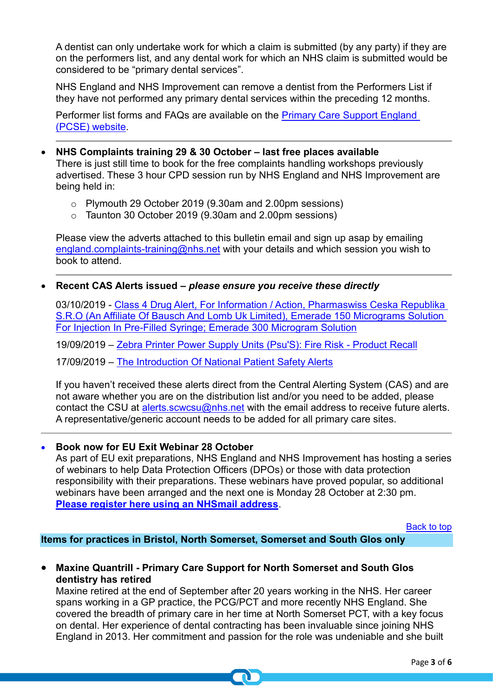A dentist can only undertake work for which a claim is submitted (by any party) if they are on the performers list, and any dental work for which an NHS claim is submitted would be considered to be "primary dental services".

NHS England and NHS Improvement can remove a dentist from the Performers List if they have not performed any primary dental services within the preceding 12 months.

Performer list forms and FAQs are available on the [Primary Care Support England](https://pcse.england.nhs.uk/services/performers-lists/)  [\(PCSE\) website.](https://pcse.england.nhs.uk/services/performers-lists/)

- **NHS Complaints training 29 & 30 October – last free places available** There is just still time to book for the free complaints handling workshops previously advertised. These 3 hour CPD session run by NHS England and NHS Improvement are being held in:
	- o Plymouth 29 October 2019 (9.30am and 2.00pm sessions)
	- o Taunton 30 October 2019 (9.30am and 2.00pm sessions)

Please view the adverts attached to this bulletin email and sign up asap by emailing [england.complaints-training@nhs.net](mailto:england.complaints-training@nhs.net) with your details and which session you wish to book to attend.

# • **Recent CAS Alerts issued** *– please ensure you receive these directly*

03/10/2019 - [Class 4 Drug Alert, For Information / Action, Pharmaswiss Ceska Republika](file://///ims.gov.uk/data/Users/GBBULVD/BULHOME4/SBTroake/Downloads/EL%20(19)A%2023%20Final%20(1).pdf)  [S.R.O \(An Affiliate Of Bausch And Lomb Uk Limited\), Emerade 150 Micrograms Solution](file://///ims.gov.uk/data/Users/GBBULVD/BULHOME4/SBTroake/Downloads/EL%20(19)A%2023%20Final%20(1).pdf)  [For Injection In Pre-Filled Syringe; Emerade 300 Microgram Solution](file://///ims.gov.uk/data/Users/GBBULVD/BULHOME4/SBTroake/Downloads/EL%20(19)A%2023%20Final%20(1).pdf)

19/09/2019 – [Zebra Printer Power Supply Units \(Psu'S\): Fire Risk](https://www.cas.mhra.gov.uk/ViewAndAcknowledgment/viewAlert.aspx?AlertID=102892) - Product Recall

17/09/2019 – [The Introduction Of National Patient Safety Alerts](https://www.cas.mhra.gov.uk/ViewAndAcknowledgment/viewAlert.aspx?AlertID=102892)

If you haven't received these alerts direct from the Central Alerting System (CAS) and are not aware whether you are on the distribution list and/or you need to be added, please contact the CSU at [alerts.scwcsu@nhs.net](mailto:alerts.scwcsu@nhs.net) with the email address to receive future alerts. A representative/generic account needs to be added for all primary care sites.

# • **Book now for EU Exit Webinar 28 October**

As part of EU exit preparations, NHS England and NHS Improvement has hosting a series of webinars to help Data Protection Officers (DPOs) or those with data protection responsibility with their preparations. These webinars have proved popular, so additional webinars have been arranged and the next one is Monday 28 October at 2:30 pm. **[Please register here using an NHSmail address](https://healthsector.webex.com/mw3300/mywebex/default.do?service=1&siteurl=healthsector&nomenu=true&main_url=%2Fmc3300%2Fe.do%3Fsiteurl%3Dhealthsector%26AT%3DMI%26EventID%3D847417737%26UID%3D0%26Host%3DQUhTSwAAAATiUkJWr5fBNx89hsJ7-_KJL13-XCATw14OqTFASD-W_RthksFwwO386RsgImY3tKyhETE6ooY_s-d2BgUqYN4r0%26RG%3D1%26FrameSet%3D2%26RGID%3Drb6a7f3691cf95ce084f58876b7670680)**.

[Back to top](#page-0-0)

<span id="page-2-0"></span>**Items for practices in Bristol, North Somerset, Somerset and South Glos only**

# • **Maxine Quantrill - Primary Care Support for North Somerset and South Glos dentistry has retired**

Maxine retired at the end of September after 20 years working in the NHS. Her career spans working in a GP practice, the PCG/PCT and more recently NHS England. She covered the breadth of primary care in her time at North Somerset PCT, with a key focus on dental. Her experience of dental contracting has been invaluable since joining NHS England in 2013. Her commitment and passion for the role was undeniable and she built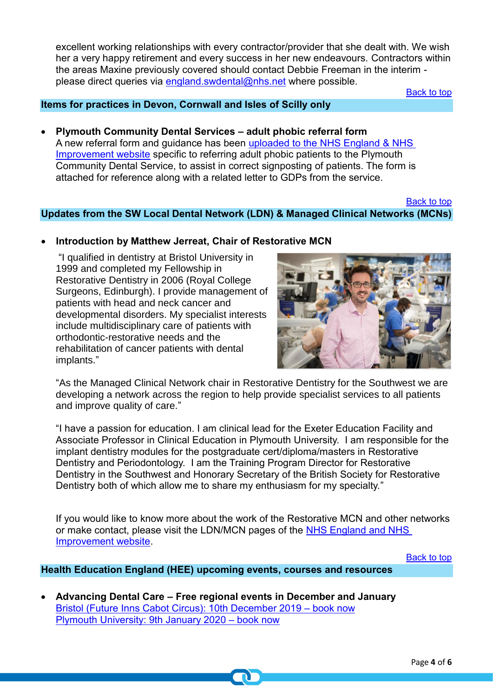excellent working relationships with every contractor/provider that she dealt with. We wish her a very happy retirement and every success in her new endeavours. Contractors within the areas Maxine previously covered should contact Debbie Freeman in the interim please direct queries via [england.swdental@nhs.net](mailto:england.swdental@nhs.net) where possible.

[Back to top](#page-0-0)

# <span id="page-3-0"></span>**Items for practices in Devon, Cornwall and Isles of Scilly only**

# • **Plymouth Community Dental Services – adult phobic referral form**

A new referral form and guidance has been [uploaded to the NHS England & NHS](https://www.england.nhs.uk/south/info-professional/dental/dcis/forms/)  [Improvement website](https://www.england.nhs.uk/south/info-professional/dental/dcis/forms/) specific to referring adult phobic patients to the Plymouth Community Dental Service, to assist in correct signposting of patients. The form is attached for reference along with a related letter to GDPs from the service.

#### [Back to top](#page-0-0)

<span id="page-3-1"></span>**Updates from the SW Local Dental Network (LDN) & Managed Clinical Networks (MCNs)**

#### • **Introduction by Matthew Jerreat, Chair of Restorative MCN**

"I qualified in dentistry at Bristol University in 1999 and completed my Fellowship in Restorative Dentistry in 2006 (Royal College Surgeons, Edinburgh). I provide management of patients with head and neck cancer and developmental disorders. My specialist interests include multidisciplinary care of patients with orthodontic-restorative needs and the rehabilitation of cancer patients with dental implants."



"As the Managed Clinical Network chair in Restorative Dentistry for the Southwest we are developing a network across the region to help provide specialist services to all patients and improve quality of care."

"I have a passion for education. I am clinical lead for the Exeter Education Facility and Associate Professor in Clinical Education in Plymouth University. I am responsible for the implant dentistry modules for the postgraduate cert/diploma/masters in Restorative Dentistry and Periodontology. I am the Training Program Director for Restorative Dentistry in the Southwest and Honorary Secretary of the British Society for Restorative Dentistry both of which allow me to share my enthusiasm for my specialty."

If you would like to know more about the work of the Restorative MCN and other networks or make contact, please visit the LDN/MCN pages of the [NHS England and NHS](https://www.england.nhs.uk/south/info-professional/dental/dcis/south-west-ldn/)  [Improvement website.](https://www.england.nhs.uk/south/info-professional/dental/dcis/south-west-ldn/)

[Back to top](#page-0-0)

# <span id="page-3-2"></span>**Health Education England (HEE) upcoming events, courses and resources**

• **Advancing Dental Care – Free regional events in December and January** [Bristol \(Future Inns Cabot Circus\): 10th December 2019 –](https://www.maxcourse.co.uk/swdentalpg/guestCourseMatchListCourseDetails.asp?cKey=2891) book now [Plymouth University: 9th January 2020 –](https://www.maxcourse.co.uk/swdentalpg/guestCourseMatchListCourseDetails.asp?cKey=2892) book now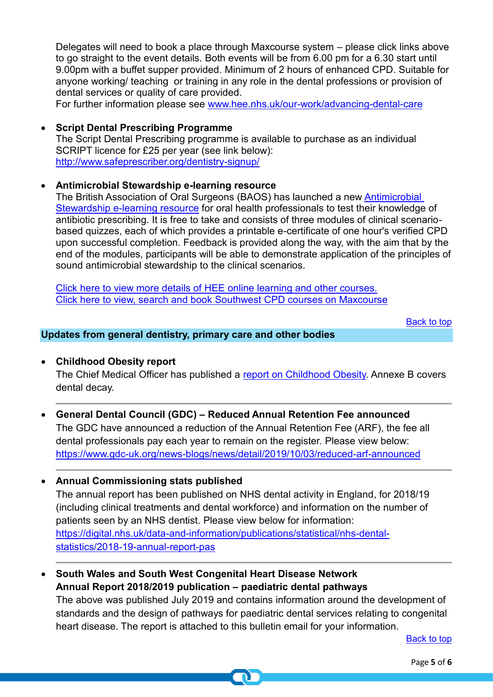Delegates will need to book a place through Maxcourse system – please click links above to go straight to the event details. Both events will be from 6.00 pm for a 6.30 start until 9.00pm with a buffet supper provided. Minimum of 2 hours of enhanced CPD. Suitable for anyone working/ teaching or training in any role in the dental professions or provision of dental services or quality of care provided.

For further information please see [www.hee.nhs.uk/our-work/advancing-dental-care](https://www.hee.nhs.uk/our-work/advancing-dental-care)

• **Script Dental Prescribing Programme** The Script Dental Prescribing programme is available to purchase as an individual SCRIPT licence for £25 per year (see link below): <http://www.safeprescriber.org/dentistry-signup/>

# • **Antimicrobial Stewardship e-learning resource**

The British Association of Oral Surgeons (BAOS) has launched a new [Antimicrobial](https://www.baos.org.uk/elearning/)  [Stewardship e-learning resource](https://www.baos.org.uk/elearning/) for oral health professionals to test their knowledge of antibiotic prescribing. It is free to take and consists of three modules of clinical scenariobased quizzes, each of which provides a printable e-certificate of one hour's verified CPD upon successful completion. Feedback is provided along the way, with the aim that by the end of the modules, participants will be able to demonstrate application of the principles of sound antimicrobial stewardship to the clinical scenarios.

[Click here to view more details of HEE online learning and other courses.](http://www.dental.southwest.hee.nhs.uk/about-us/dental-courses/) [Click here to view, search and book Southwest CPD courses on Maxcourse](https://www.maxcourse.co.uk/swdentalpg/guestHome.asp)

[Back to top](#page-0-0)

#### **Updates from general dentistry, primary care and other bodies**

• **Childhood Obesity report**

The Chief Medical Officer has published a [report on Childhood Obesity.](https://assets.publishing.service.gov.uk/government/uploads/system/uploads/attachment_data/file/837907/cmo-special-report-childhood-obesity-october-2019.pdf) Annexe B covers dental decay.

- **General Dental Council (GDC) – Reduced Annual Retention Fee announced** The GDC have announced a reduction of the Annual Retention Fee (ARF), the fee all dental professionals pay each year to remain on the register. Please view below: <https://www.gdc-uk.org/news-blogs/news/detail/2019/10/03/reduced-arf-announced>
- **Annual Commissioning stats published**

The annual report has been published on NHS dental activity in England, for 2018/19 (including clinical treatments and dental workforce) and information on the number of patients seen by an NHS dentist. Please view below for information: [https://digital.nhs.uk/data-and-information/publications/statistical/nhs-dental](https://digital.nhs.uk/data-and-information/publications/statistical/nhs-dental-statistics/2018-19-annual-report-pas)[statistics/2018-19-annual-report-pas](https://digital.nhs.uk/data-and-information/publications/statistical/nhs-dental-statistics/2018-19-annual-report-pas)

• **South Wales and South West Congenital Heart Disease Network Annual Report 2018/2019 publication – paediatric dental pathways** The above was published July 2019 and contains information around the development of standards and the design of pathways for paediatric dental services relating to congenital

heart disease. The report is attached to this bulletin email for your information.

[Back to top](#page-0-0)